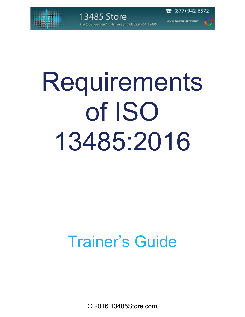

(877) 942-6572

# Requirements of ISO 13485:2016

## Trainer's Guide

© 2016 13485Store.com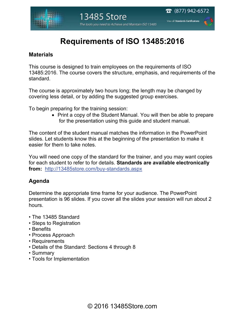$\bar{a}$  (877) 942-6572

### **Requirements of ISO 13485:2016**

#### **Materials**

This course is designed to train employees on the requirements of ISO 13485:2016. The course covers the structure, emphasis, and requirements of the standard.

The course is approximately two hours long; the length may be changed by covering less detail, or by adding the suggested group exercises.

To begin preparing for the training session:

• Print a copy of the Student Manual. You will then be able to prepare for the presentation using this guide and student manual.

The content of the student manual matches the information in the PowerPoint slides. Let students know this at the beginning of the presentation to make it easier for them to take notes.

You will need one copy of the standard for the trainer, and you may want copies for each student to refer to for details. **Standards are available electronically from:** http://13485store.com/buy-standards.aspx

#### **Agenda**

Determine the appropriate time frame for your audience. The PowerPoint presentation is 96 slides. If you cover all the slides your session will run about 2 hours.

- The 13485 Standard
- Steps to Registration
- Benefits
- Process Approach
- Requirements
- Details of the Standard: Sections 4 through 8
- Summary
- Tools for Implementation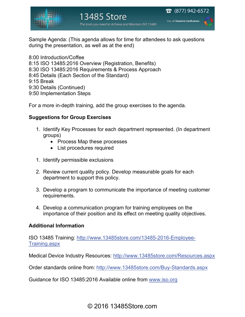

#### 13485 Store The tools you need to Achieve and Maintain ISO 13485

 $\bar{a}$  (877) 942-6572 View all Standards Certifications

Sample Agenda: (This agenda allows for time for attendees to ask questions during the presentation, as well as at the end)

8:00 Introduction/Coffee 8:15 ISO 13485:2016 Overview (Registration, Benefits) 8:30 ISO 13485:2016 Requirements & Process Approach 8:45 Details (Each Section of the Standard) 9:15 Break 9:30 Details (Continued) 9:50 Implementation Steps

For a more in-depth training, add the group exercises to the agenda.

#### **Suggestions for Group Exercises**

- 1. Identify Key Processes for each department represented. (In department groups)
	- Process Map these processes
	- List procedures required
- 1. Identify permissible exclusions
- 2. Review current quality policy. Develop measurable goals for each department to support this policy.
- 3. Develop a program to communicate the importance of meeting customer requirements.
- 4. Develop a communication program for training employees on the importance of their position and its effect on meeting quality objectives.

#### **Additional Information**

ISO 13485 Training: http://www.13485store.com/13485-2016-Employee-Training.aspx

Medical Device Industry Resources: http://www.13485store.com/Resources.aspx

Order standards online from: http://www.13485store.com/Buy-Standards.aspx

Guidance for ISO 13485:2016 Available online from www.iso.org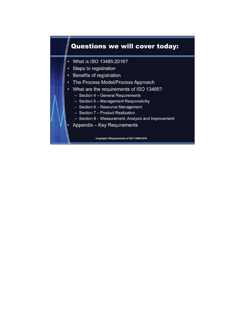